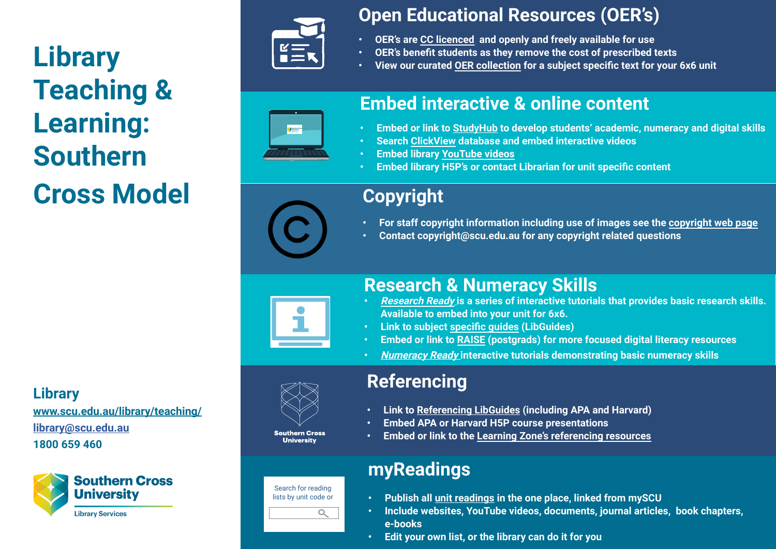# **Library Teaching & Learning: Southern Cross Model**



## **Open Educational Resources (OER's)**

- **• OER's are [CC licenced,](https://creativecommons.org/about/cclicenses/) and openly and freely available for use**
- **• OER's benefit students as they remove the cost of prescribed texts**
- **• View our curated [OER collection](https://scu.primo.exlibrisgroup.com/discovery/collectionDiscovery?vid=61SCU_INST:61SCU&collectionId=8171306910002368) for a subject specific text for your 6x6 unit**



## **Embed interactive & online content**

- **• Embed or link to [StudyHub](https://scustudyhub.com/) to develop students' academic, numeracy and digital skills**
- **• Search [ClickView](https://saml-in4.clickview.com.au/Shibboleth.sso/ADM22850) database and embed interactive videos**
- **• Embed library [YouTube videos](https://www.youtube.com/user/UniSCULibrary)**
- **• Embed library H5P's or contact Librarian for unit specific content**

| Copyright |
|-----------|
|-----------|

- **• For staff copyright information including use of images see the [copyright web page](https://www.scu.edu.au/copyright/)**
- **• Contact copyright@scu.edu.au for any copyright related questions**



Search for reading lists by unit code or

 $\alpha$ 

**Southern Cross University** 

## **Research & Numeracy Skills**

- **• [Research Ready](https://www.scu.edu.au/library/study/research-ready/) is a series of interactive tutorials that provides basic research skills. Available to embed into your unit for 6x6.**
- **• Link to subject [specific guides](https://libguides.scu.edu.au/) (LibGuides)**
- **• Embed or link to [RAISE](https://scuhdrtraining.com/) (postgrads) for more focused digital literacy resources**
- **• [Numeracy Ready](https://www.scu.edu.au/library/study/numeracy-ready/) interactive tutorials demonstrating basic numeracy skills**

## **Referencing**

- **• Link to [Referencing LibGuides](https://libguides.scu.edu.au/referencing) (including APA and Harvard)**
- **• Embed APA or Harvard H5P course presentations**
- **• Embed or link to the [Learning Zone's referencing resources](https://www.scu.edu.au/learning-zone/)**

## **myReadings**

- **• Publish all [unit readings](https://www.scu.edu.au/library/teaching/register-myreadings/) in the one place, linked from mySCU**
- **• Include websites, YouTube videos, documents, journal articles, book chapters, e-books**
- **• Edit your own list, or the library can do it for you**

#### **Library**

**[www.scu.edu.au/library/teaching/](https://www.scu.edu.au/library/teaching/ ) [library@scu.edu.au](mailto:library%40scu.edu.au?subject=) 1800 659 460**